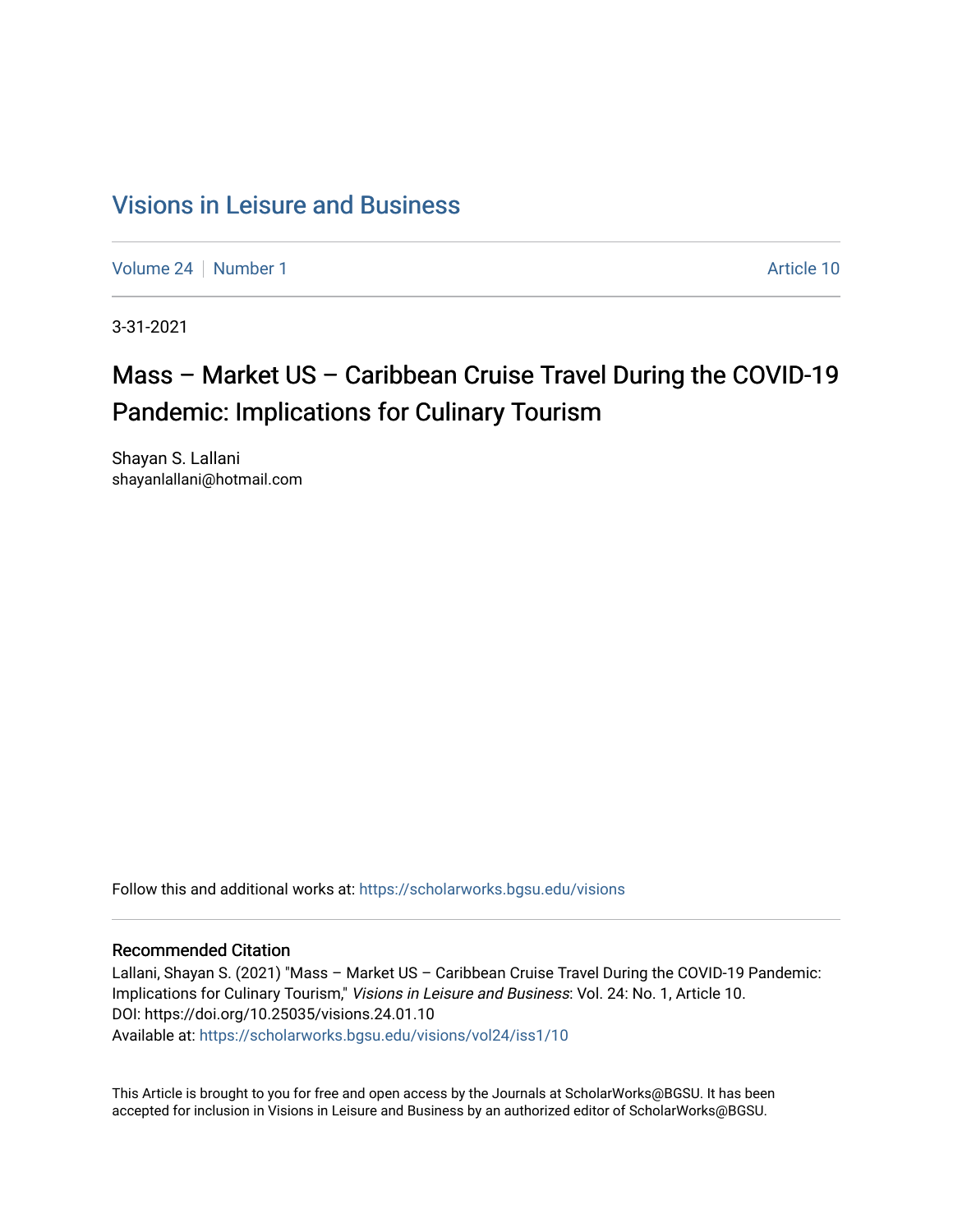## [Visions in Leisure and Business](https://scholarworks.bgsu.edu/visions)

[Volume 24](https://scholarworks.bgsu.edu/visions/vol24) | [Number 1](https://scholarworks.bgsu.edu/visions/vol24/iss1) Article 10

3-31-2021

# Mass – Market US – Caribbean Cruise Travel During the COVID-19 Pandemic: Implications for Culinary Tourism

Shayan S. Lallani shayanlallani@hotmail.com

Follow this and additional works at: [https://scholarworks.bgsu.edu/visions](https://scholarworks.bgsu.edu/visions?utm_source=scholarworks.bgsu.edu%2Fvisions%2Fvol24%2Fiss1%2F10&utm_medium=PDF&utm_campaign=PDFCoverPages) 

#### Recommended Citation

Lallani, Shayan S. (2021) "Mass – Market US – Caribbean Cruise Travel During the COVID-19 Pandemic: Implications for Culinary Tourism," Visions in Leisure and Business: Vol. 24: No. 1, Article 10. DOI: https://doi.org/10.25035/visions.24.01.10 Available at: [https://scholarworks.bgsu.edu/visions/vol24/iss1/10](https://scholarworks.bgsu.edu/visions/vol24/iss1/10?utm_source=scholarworks.bgsu.edu%2Fvisions%2Fvol24%2Fiss1%2F10&utm_medium=PDF&utm_campaign=PDFCoverPages)

This Article is brought to you for free and open access by the Journals at ScholarWorks@BGSU. It has been accepted for inclusion in Visions in Leisure and Business by an authorized editor of ScholarWorks@BGSU.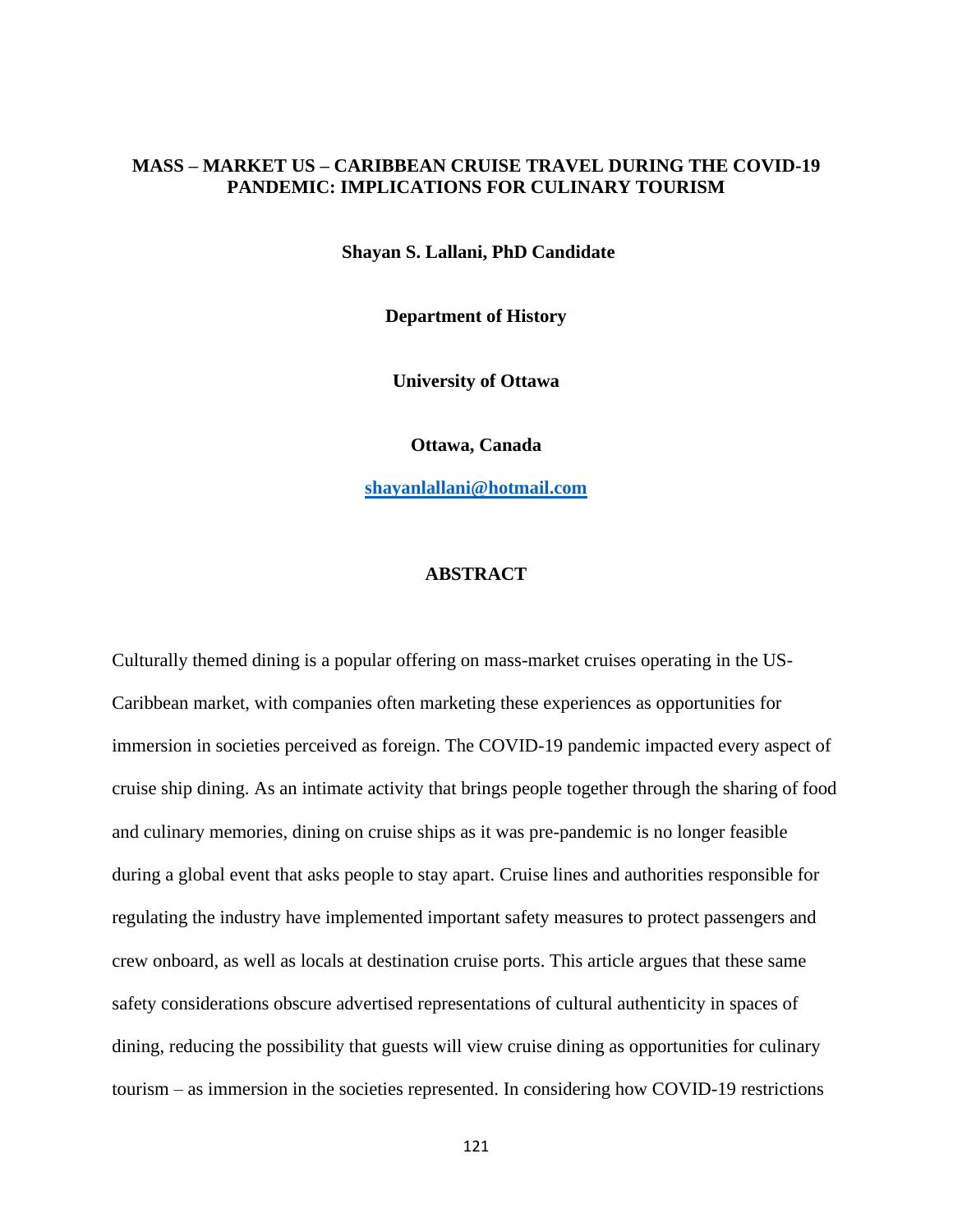## **MASS – MARKET US – CARIBBEAN CRUISE TRAVEL DURING THE COVID-19 PANDEMIC: IMPLICATIONS FOR CULINARY TOURISM**

**Shayan S. Lallani, PhD Candidate**

**Department of History**

**University of Ottawa**

**Ottawa, Canada**

**[shayanlallani@hotmail.com](mailto:shayanlallani@hotmail.com)**

## **ABSTRACT**

Culturally themed dining is a popular offering on mass-market cruises operating in the US-Caribbean market, with companies often marketing these experiences as opportunities for immersion in societies perceived as foreign. The COVID-19 pandemic impacted every aspect of cruise ship dining. As an intimate activity that brings people together through the sharing of food and culinary memories, dining on cruise ships as it was pre-pandemic is no longer feasible during a global event that asks people to stay apart. Cruise lines and authorities responsible for regulating the industry have implemented important safety measures to protect passengers and crew onboard, as well as locals at destination cruise ports. This article argues that these same safety considerations obscure advertised representations of cultural authenticity in spaces of dining, reducing the possibility that guests will view cruise dining as opportunities for culinary tourism – as immersion in the societies represented. In considering how COVID-19 restrictions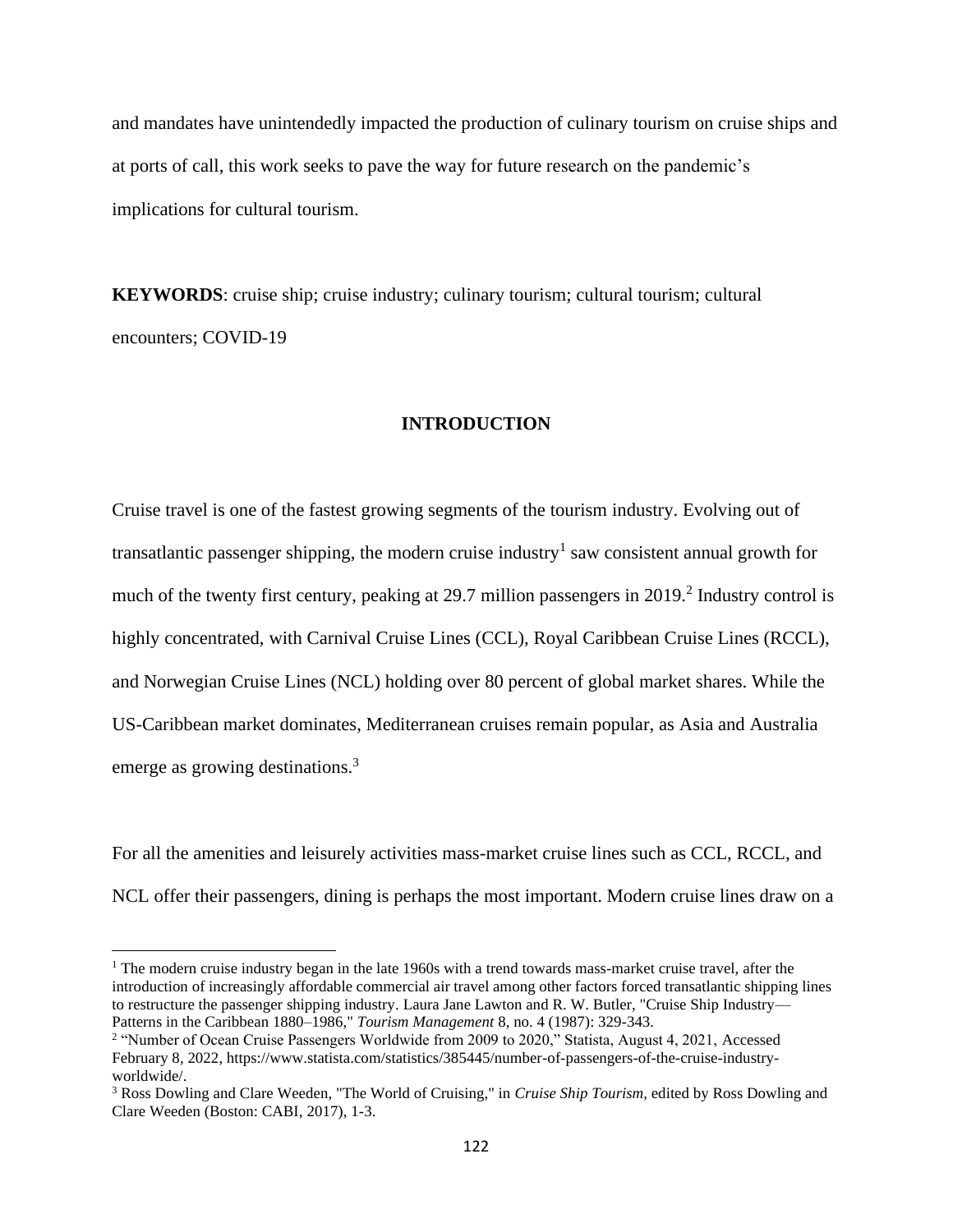and mandates have unintendedly impacted the production of culinary tourism on cruise ships and at ports of call, this work seeks to pave the way for future research on the pandemic's implications for cultural tourism.

**KEYWORDS**: cruise ship; cruise industry; culinary tourism; cultural tourism; cultural encounters; COVID-19

#### **INTRODUCTION**

Cruise travel is one of the fastest growing segments of the tourism industry. Evolving out of transatlantic passenger shipping, the modern cruise industry<sup>1</sup> saw consistent annual growth for much of the twenty first century, peaking at 29.7 million passengers in 2019.<sup>2</sup> Industry control is highly concentrated, with Carnival Cruise Lines (CCL), Royal Caribbean Cruise Lines (RCCL), and Norwegian Cruise Lines (NCL) holding over 80 percent of global market shares. While the US-Caribbean market dominates, Mediterranean cruises remain popular, as Asia and Australia emerge as growing destinations.<sup>3</sup>

For all the amenities and leisurely activities mass-market cruise lines such as CCL, RCCL, and NCL offer their passengers, dining is perhaps the most important. Modern cruise lines draw on a

<sup>1</sup> The modern cruise industry began in the late 1960s with a trend towards mass-market cruise travel, after the introduction of increasingly affordable commercial air travel among other factors forced transatlantic shipping lines to restructure the passenger shipping industry. Laura Jane Lawton and R. W. Butler, "Cruise Ship Industry— Patterns in the Caribbean 1880–1986," *Tourism Management* 8, no. 4 (1987): 329-343.

<sup>&</sup>lt;sup>2</sup> "Number of Ocean Cruise Passengers Worldwide from 2009 to 2020," Statista, August 4, 2021, Accessed February 8, 2022, https://www.statista.com/statistics/385445/number-of-passengers-of-the-cruise-industryworldwide/.

<sup>3</sup> Ross Dowling and Clare Weeden, "The World of Cruising," in *Cruise Ship Tourism*, edited by Ross Dowling and Clare Weeden (Boston: CABI, 2017), 1-3.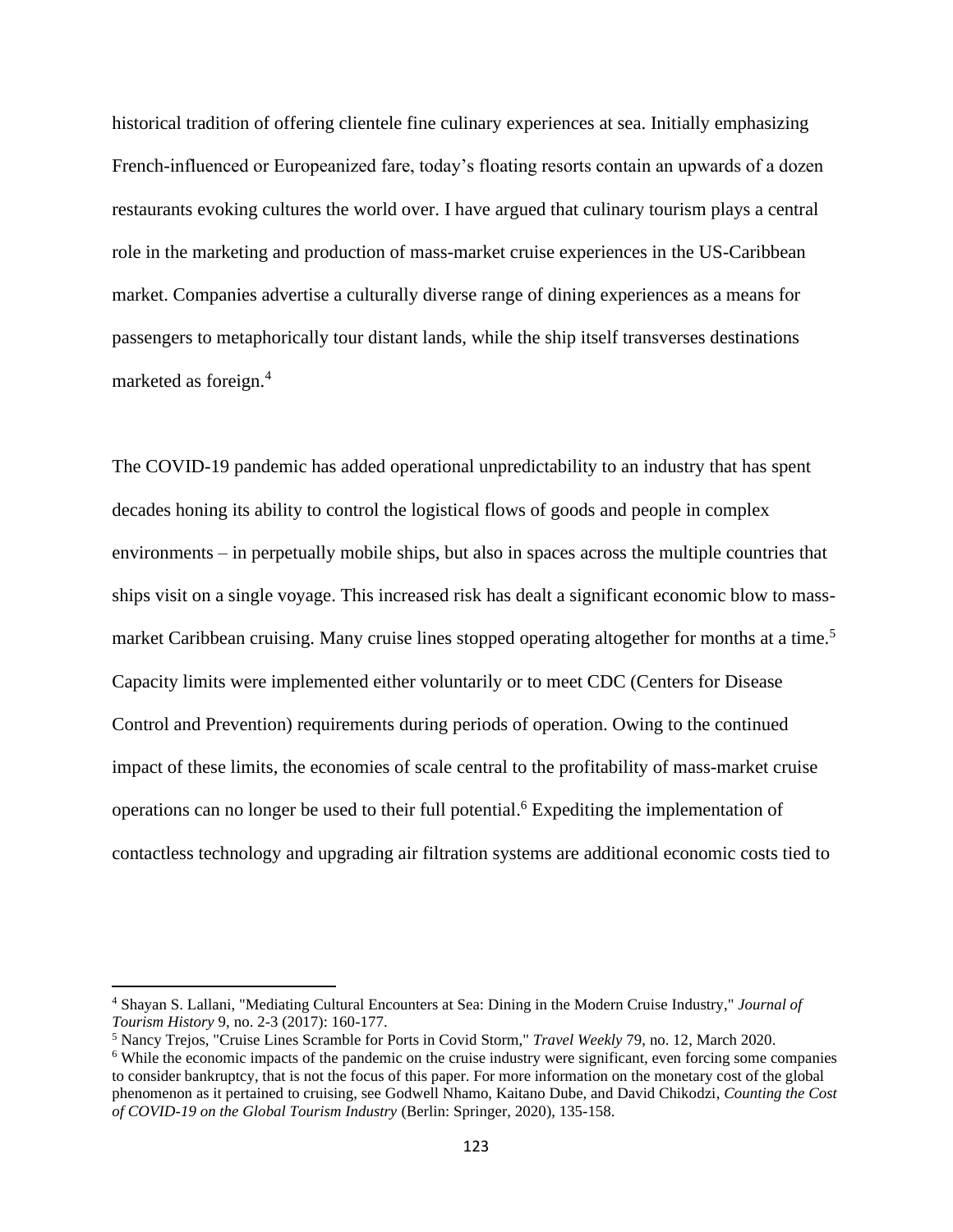historical tradition of offering clientele fine culinary experiences at sea. Initially emphasizing French-influenced or Europeanized fare, today's floating resorts contain an upwards of a dozen restaurants evoking cultures the world over. I have argued that culinary tourism plays a central role in the marketing and production of mass-market cruise experiences in the US-Caribbean market. Companies advertise a culturally diverse range of dining experiences as a means for passengers to metaphorically tour distant lands, while the ship itself transverses destinations marketed as foreign.<sup>4</sup>

The COVID-19 pandemic has added operational unpredictability to an industry that has spent decades honing its ability to control the logistical flows of goods and people in complex environments – in perpetually mobile ships, but also in spaces across the multiple countries that ships visit on a single voyage. This increased risk has dealt a significant economic blow to massmarket Caribbean cruising. Many cruise lines stopped operating altogether for months at a time.<sup>5</sup> Capacity limits were implemented either voluntarily or to meet CDC (Centers for Disease Control and Prevention) requirements during periods of operation. Owing to the continued impact of these limits, the economies of scale central to the profitability of mass-market cruise operations can no longer be used to their full potential. <sup>6</sup> Expediting the implementation of contactless technology and upgrading air filtration systems are additional economic costs tied to

<sup>4</sup> Shayan S. Lallani, "Mediating Cultural Encounters at Sea: Dining in the Modern Cruise Industry," *Journal of Tourism History* 9, no. 2-3 (2017): 160-177.

<sup>5</sup> Nancy Trejos, "Cruise Lines Scramble for Ports in Covid Storm," *Travel Weekly* 79, no. 12, March 2020.

<sup>&</sup>lt;sup>6</sup> While the economic impacts of the pandemic on the cruise industry were significant, even forcing some companies to consider bankruptcy, that is not the focus of this paper. For more information on the monetary cost of the global phenomenon as it pertained to cruising, see Godwell Nhamo, Kaitano Dube, and David Chikodzi, *Counting the Cost of COVID-19 on the Global Tourism Industry* (Berlin: Springer, 2020), 135-158.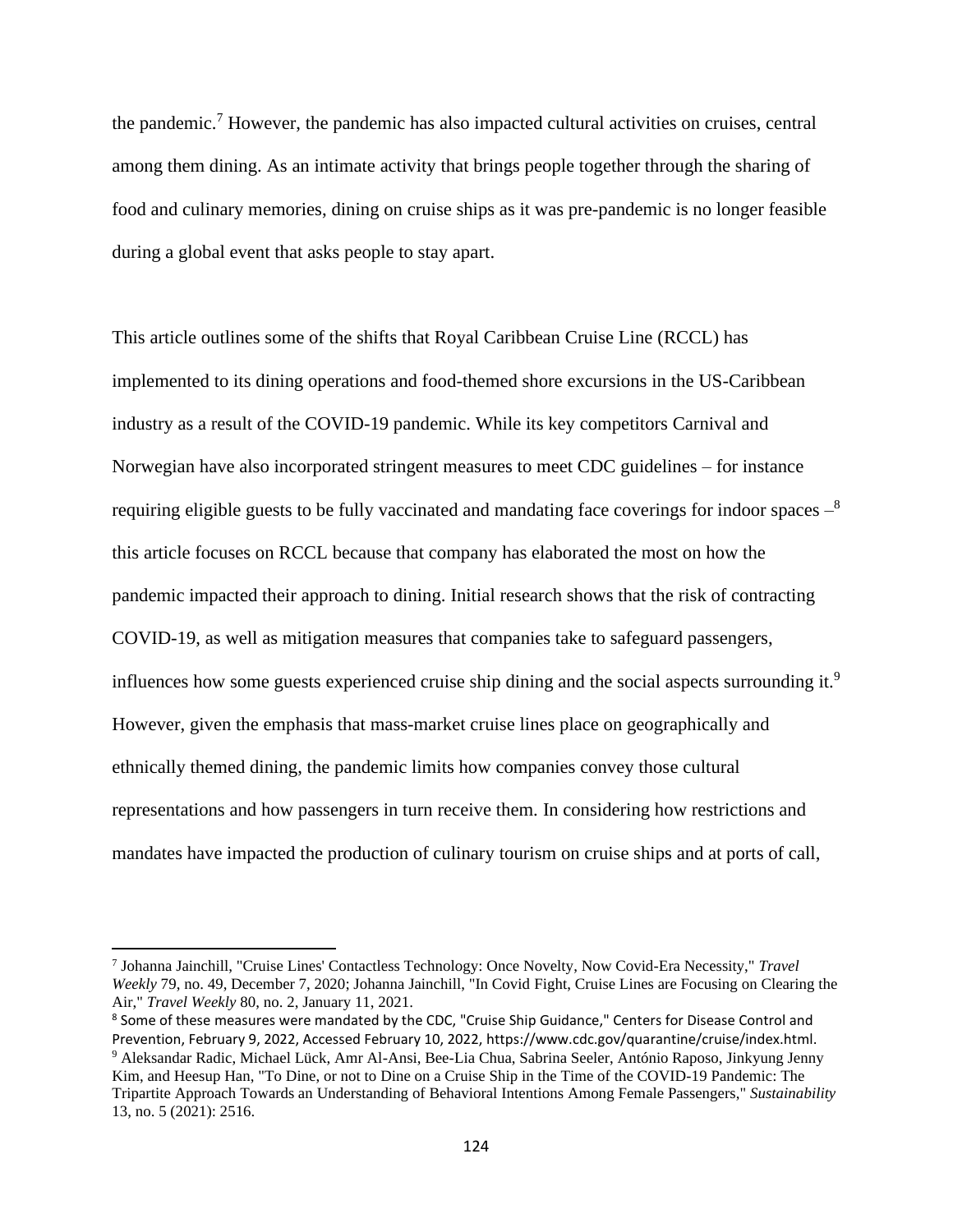the pandemic.<sup>7</sup> However, the pandemic has also impacted cultural activities on cruises, central among them dining. As an intimate activity that brings people together through the sharing of food and culinary memories, dining on cruise ships as it was pre-pandemic is no longer feasible during a global event that asks people to stay apart.

This article outlines some of the shifts that Royal Caribbean Cruise Line (RCCL) has implemented to its dining operations and food-themed shore excursions in the US-Caribbean industry as a result of the COVID-19 pandemic. While its key competitors Carnival and Norwegian have also incorporated stringent measures to meet CDC guidelines – for instance requiring eligible guests to be fully vaccinated and mandating face coverings for indoor spaces  $-$ <sup>8</sup> this article focuses on RCCL because that company has elaborated the most on how the pandemic impacted their approach to dining. Initial research shows that the risk of contracting COVID-19, as well as mitigation measures that companies take to safeguard passengers, influences how some guests experienced cruise ship dining and the social aspects surrounding it.<sup>9</sup> However, given the emphasis that mass-market cruise lines place on geographically and ethnically themed dining, the pandemic limits how companies convey those cultural representations and how passengers in turn receive them. In considering how restrictions and mandates have impacted the production of culinary tourism on cruise ships and at ports of call,

<sup>7</sup> Johanna Jainchill, "Cruise Lines' Contactless Technology: Once Novelty, Now Covid-Era Necessity," *Travel Weekly* 79, no. 49, December 7, 2020; Johanna Jainchill, "In Covid Fight, Cruise Lines are Focusing on Clearing the Air," *Travel Weekly* 80, no. 2, January 11, 2021.

<sup>&</sup>lt;sup>8</sup> Some of these measures were mandated by the CDC, "Cruise Ship Guidance," Centers for Disease Control and Prevention, February 9, 2022, Accessed February 10, 2022, https://www.cdc.gov/quarantine/cruise/index.html. <sup>9</sup> Aleksandar Radic, Michael Lück, Amr Al-Ansi, Bee-Lia Chua, Sabrina Seeler, António Raposo, Jinkyung Jenny Kim, and Heesup Han, "To Dine, or not to Dine on a Cruise Ship in the Time of the COVID-19 Pandemic: The Tripartite Approach Towards an Understanding of Behavioral Intentions Among Female Passengers," *Sustainability* 13, no. 5 (2021): 2516.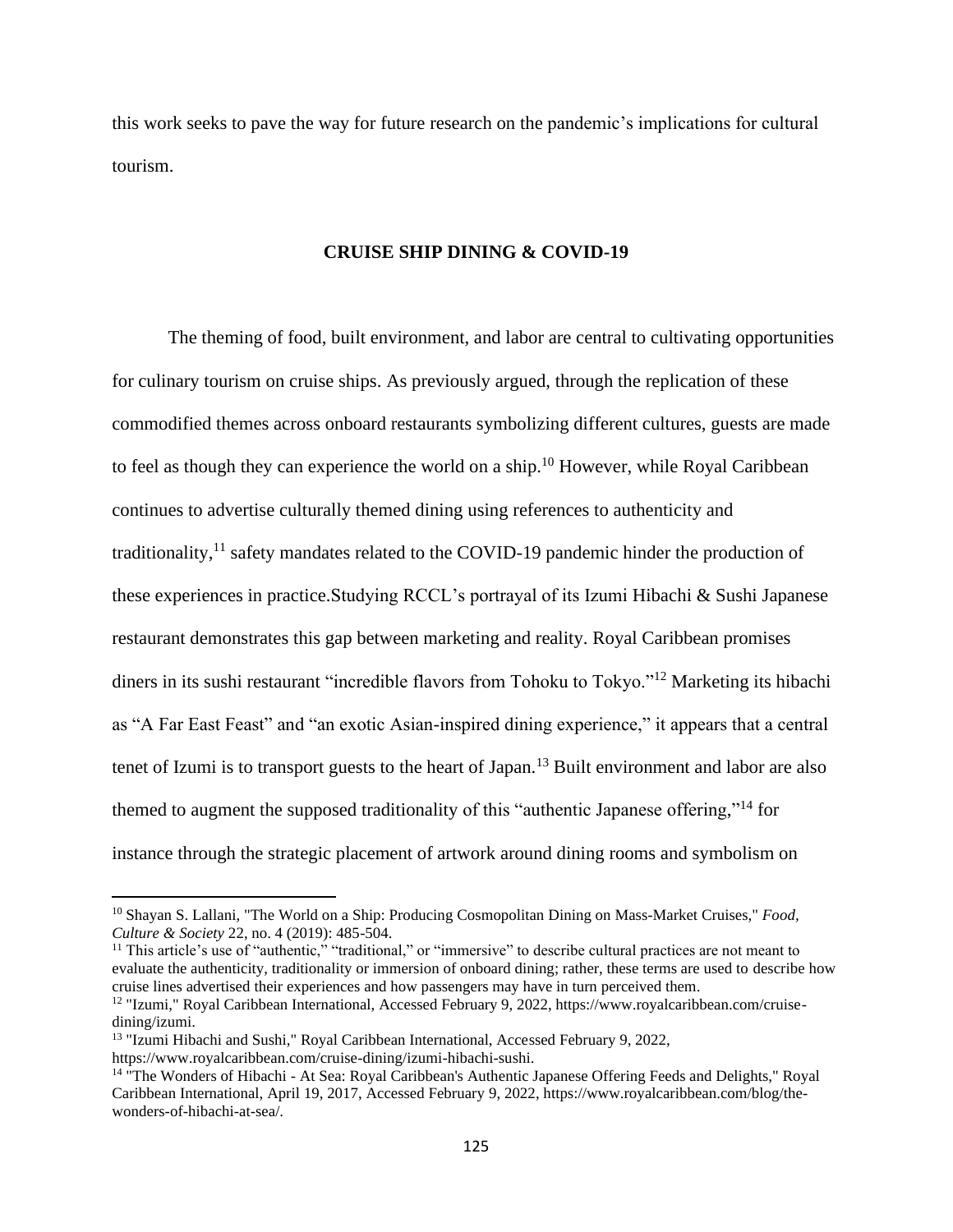this work seeks to pave the way for future research on the pandemic's implications for cultural tourism.

#### **CRUISE SHIP DINING & COVID-19**

The theming of food, built environment, and labor are central to cultivating opportunities for culinary tourism on cruise ships. As previously argued, through the replication of these commodified themes across onboard restaurants symbolizing different cultures, guests are made to feel as though they can experience the world on a ship.<sup>10</sup> However, while Royal Caribbean continues to advertise culturally themed dining using references to authenticity and traditionality,<sup>11</sup> safety mandates related to the COVID-19 pandemic hinder the production of these experiences in practice.Studying RCCL's portrayal of its Izumi Hibachi & Sushi Japanese restaurant demonstrates this gap between marketing and reality. Royal Caribbean promises diners in its sushi restaurant "incredible flavors from Tohoku to Tokyo."<sup>12</sup> Marketing its hibachi as "A Far East Feast" and "an exotic Asian-inspired dining experience," it appears that a central tenet of Izumi is to transport guests to the heart of Japan.<sup>13</sup> Built environment and labor are also themed to augment the supposed traditionality of this "authentic Japanese offering,"<sup>14</sup> for instance through the strategic placement of artwork around dining rooms and symbolism on

<sup>10</sup> Shayan S. Lallani, "The World on a Ship: Producing Cosmopolitan Dining on Mass-Market Cruises," *Food, Culture & Society* 22, no. 4 (2019): 485-504.

<sup>&</sup>lt;sup>11</sup> This article's use of "authentic," "traditional," or "immersive" to describe cultural practices are not meant to evaluate the authenticity, traditionality or immersion of onboard dining; rather, these terms are used to describe how cruise lines advertised their experiences and how passengers may have in turn perceived them.

<sup>&</sup>lt;sup>12</sup> "Izumi," Royal Caribbean International, Accessed February 9, 2022, https://www.royalcaribbean.com/cruisedining/izumi.

<sup>&</sup>lt;sup>13</sup> "Izumi Hibachi and Sushi," Royal Caribbean International, Accessed February 9, 2022,

https://www.royalcaribbean.com/cruise-dining/izumi-hibachi-sushi.

<sup>14</sup> "The Wonders of Hibachi - At Sea: Royal Caribbean's Authentic Japanese Offering Feeds and Delights," Royal Caribbean International, April 19, 2017, Accessed February 9, 2022, https://www.royalcaribbean.com/blog/thewonders-of-hibachi-at-sea/.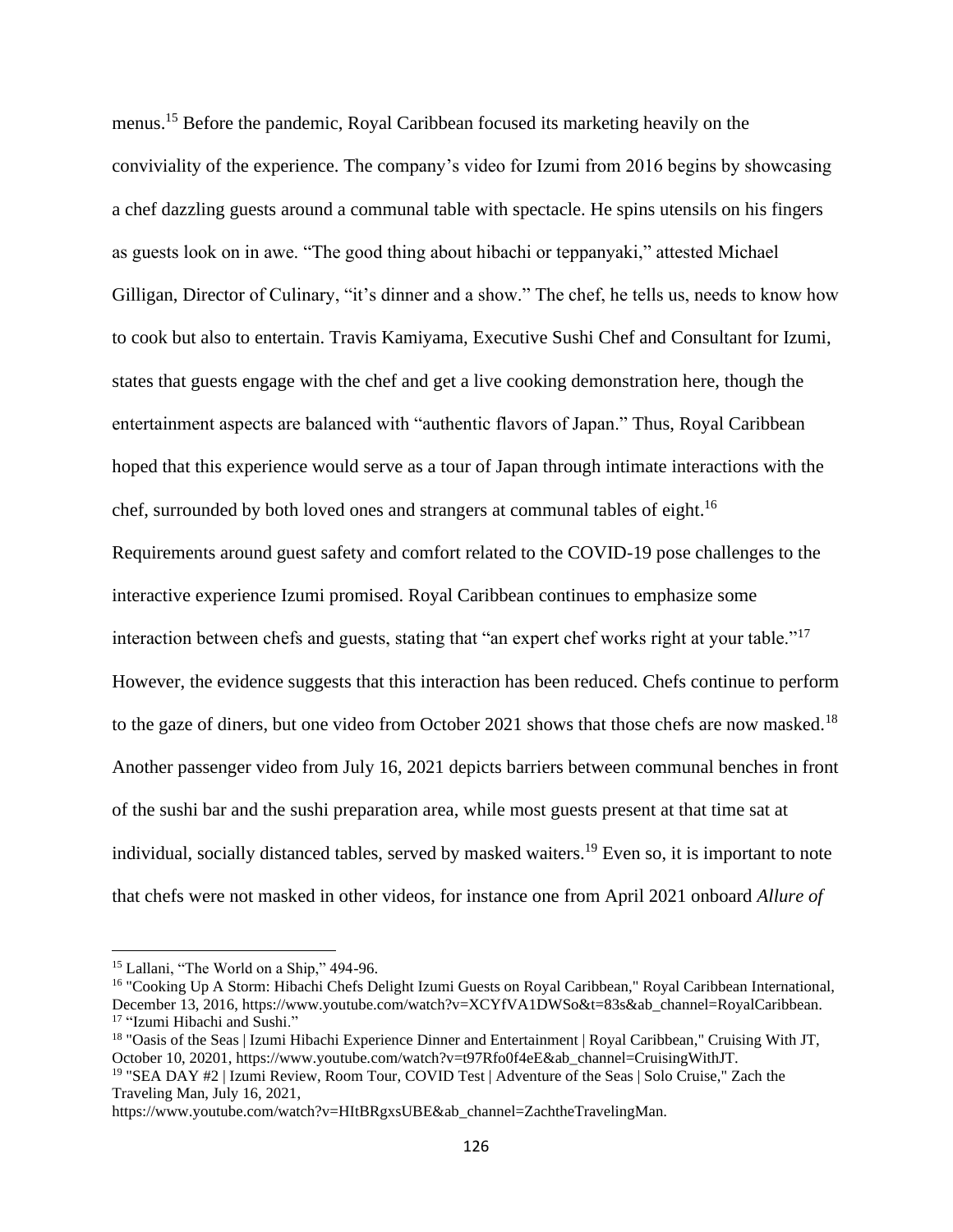menus.<sup>15</sup> Before the pandemic, Royal Caribbean focused its marketing heavily on the conviviality of the experience. The company's video for Izumi from 2016 begins by showcasing a chef dazzling guests around a communal table with spectacle. He spins utensils on his fingers as guests look on in awe. "The good thing about hibachi or teppanyaki," attested Michael Gilligan, Director of Culinary, "it's dinner and a show." The chef, he tells us, needs to know how to cook but also to entertain. Travis Kamiyama, Executive Sushi Chef and Consultant for Izumi, states that guests engage with the chef and get a live cooking demonstration here, though the entertainment aspects are balanced with "authentic flavors of Japan." Thus, Royal Caribbean hoped that this experience would serve as a tour of Japan through intimate interactions with the chef, surrounded by both loved ones and strangers at communal tables of eight.<sup>16</sup> Requirements around guest safety and comfort related to the COVID-19 pose challenges to the interactive experience Izumi promised. Royal Caribbean continues to emphasize some interaction between chefs and guests, stating that "an expert chef works right at your table."<sup>17</sup> However, the evidence suggests that this interaction has been reduced. Chefs continue to perform to the gaze of diners, but one video from October 2021 shows that those chefs are now masked.<sup>18</sup> Another passenger video from July 16, 2021 depicts barriers between communal benches in front of the sushi bar and the sushi preparation area, while most guests present at that time sat at individual, socially distanced tables, served by masked waiters.<sup>19</sup> Even so, it is important to note that chefs were not masked in other videos, for instance one from April 2021 onboard *Allure of* 

<sup>&</sup>lt;sup>15</sup> Lallani, "The World on a Ship," 494-96.

<sup>16</sup> "Cooking Up A Storm: Hibachi Chefs Delight Izumi Guests on Royal Caribbean," Royal Caribbean International, December 13, 2016, https://www.youtube.com/watch?v=XCYfVA1DWSo&t=83s&ab\_channel=RoyalCaribbean. <sup>17</sup> "Izumi Hibachi and Sushi."

<sup>&</sup>lt;sup>18</sup> "Oasis of the Seas | Izumi Hibachi Experience Dinner and Entertainment | Royal Caribbean," Cruising With JT, October 10, 20201, https://www.youtube.com/watch?v=t97Rfo0f4eE&ab\_channel=CruisingWithJT.

<sup>19</sup> "SEA DAY #2 | Izumi Review, Room Tour, COVID Test | Adventure of the Seas | Solo Cruise," Zach the Traveling Man, July 16, 2021,

https://www.youtube.com/watch?v=HItBRgxsUBE&ab\_channel=ZachtheTravelingMan.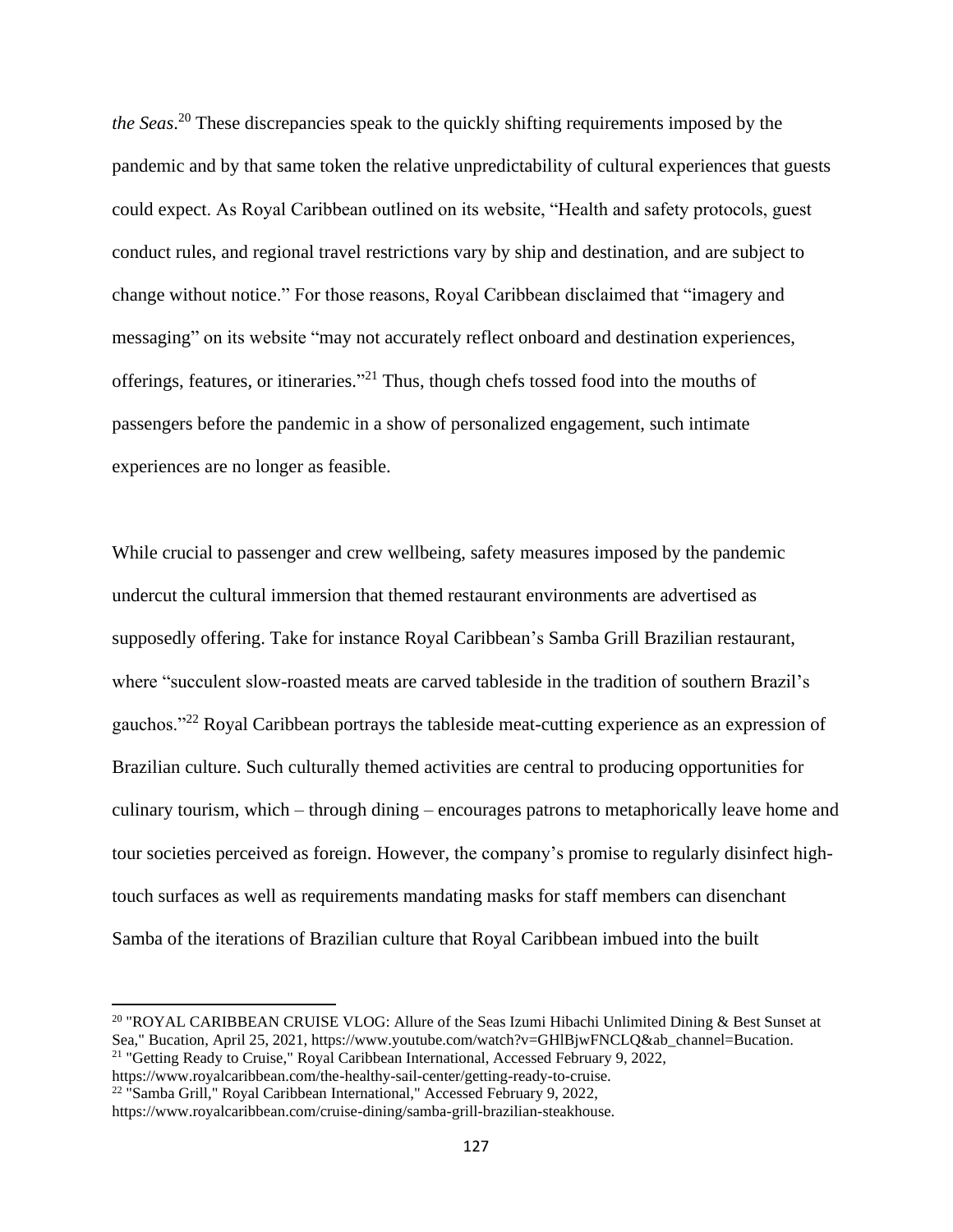*the Seas*. <sup>20</sup> These discrepancies speak to the quickly shifting requirements imposed by the pandemic and by that same token the relative unpredictability of cultural experiences that guests could expect. As Royal Caribbean outlined on its website, "Health and safety protocols, guest conduct rules, and regional travel restrictions vary by ship and destination, and are subject to change without notice." For those reasons, Royal Caribbean disclaimed that "imagery and messaging" on its website "may not accurately reflect onboard and destination experiences, offerings, features, or itineraries."<sup>21</sup> Thus, though chefs tossed food into the mouths of passengers before the pandemic in a show of personalized engagement, such intimate experiences are no longer as feasible.

While crucial to passenger and crew wellbeing, safety measures imposed by the pandemic undercut the cultural immersion that themed restaurant environments are advertised as supposedly offering. Take for instance Royal Caribbean's Samba Grill Brazilian restaurant, where "succulent slow-roasted meats are carved tableside in the tradition of southern Brazil's gauchos."<sup>22</sup> Royal Caribbean portrays the tableside meat-cutting experience as an expression of Brazilian culture. Such culturally themed activities are central to producing opportunities for culinary tourism, which – through dining – encourages patrons to metaphorically leave home and tour societies perceived as foreign. However, the company's promise to regularly disinfect hightouch surfaces as well as requirements mandating masks for staff members can disenchant Samba of the iterations of Brazilian culture that Royal Caribbean imbued into the built

<sup>&</sup>lt;sup>20</sup> "ROYAL CARIBBEAN CRUISE VLOG: Allure of the Seas Izumi Hibachi Unlimited Dining & Best Sunset at Sea," Bucation, April 25, 2021, https://www.youtube.com/watch?v=GHlBjwFNCLQ&ab\_channel=Bucation. <sup>21</sup> "Getting Ready to Cruise," Royal Caribbean International, Accessed February 9, 2022,

https://www.royalcaribbean.com/the-healthy-sail-center/getting-ready-to-cruise.

<sup>&</sup>lt;sup>22</sup> "Samba Grill," Royal Caribbean International," Accessed February 9, 2022,

https://www.royalcaribbean.com/cruise-dining/samba-grill-brazilian-steakhouse.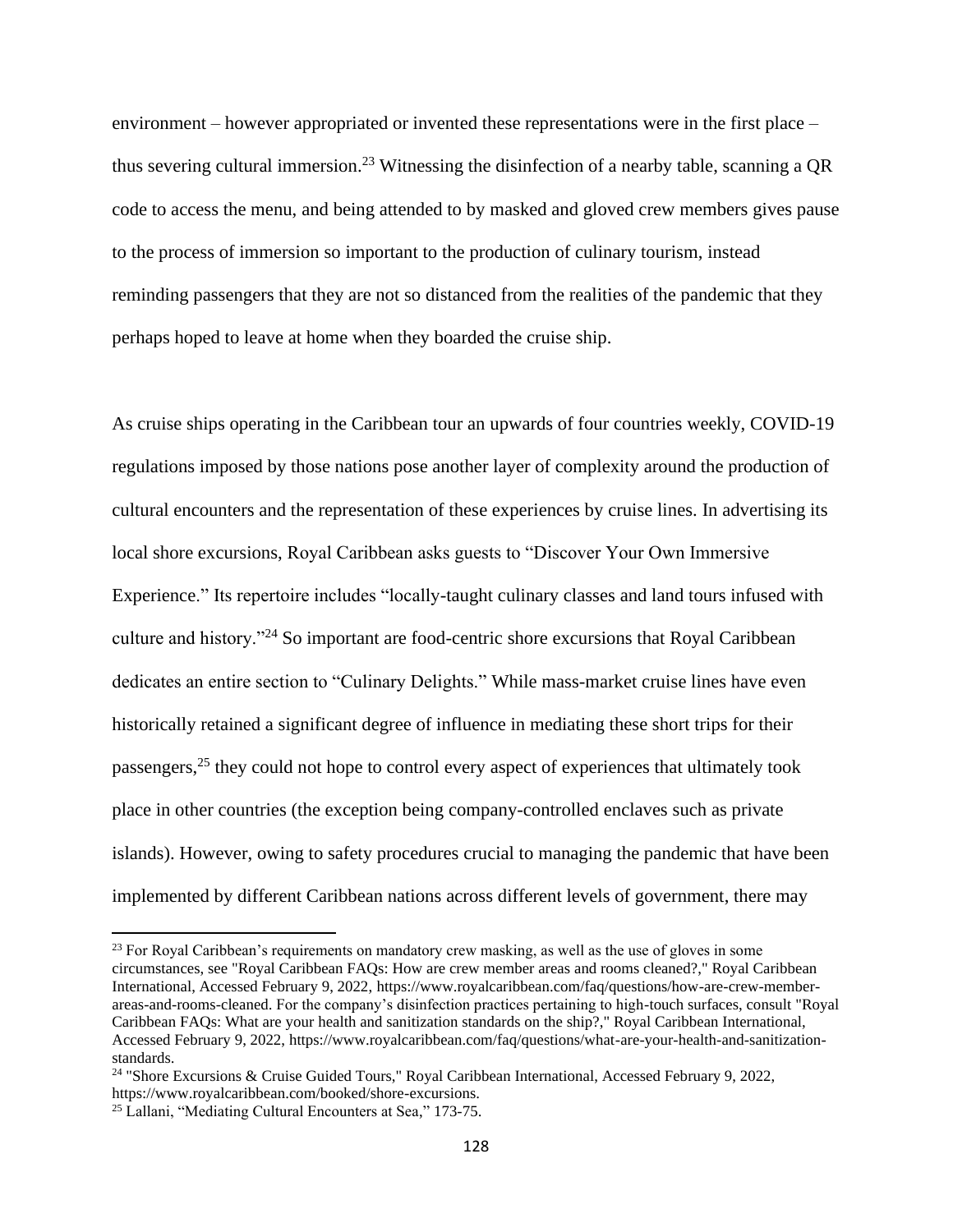environment – however appropriated or invented these representations were in the first place – thus severing cultural immersion. <sup>23</sup> Witnessing the disinfection of a nearby table, scanning a QR code to access the menu, and being attended to by masked and gloved crew members gives pause to the process of immersion so important to the production of culinary tourism, instead reminding passengers that they are not so distanced from the realities of the pandemic that they perhaps hoped to leave at home when they boarded the cruise ship.

As cruise ships operating in the Caribbean tour an upwards of four countries weekly, COVID-19 regulations imposed by those nations pose another layer of complexity around the production of cultural encounters and the representation of these experiences by cruise lines. In advertising its local shore excursions, Royal Caribbean asks guests to "Discover Your Own Immersive Experience." Its repertoire includes "locally-taught culinary classes and land tours infused with culture and history."<sup>24</sup> So important are food-centric shore excursions that Royal Caribbean dedicates an entire section to "Culinary Delights." While mass-market cruise lines have even historically retained a significant degree of influence in mediating these short trips for their passengers,<sup>25</sup> they could not hope to control every aspect of experiences that ultimately took place in other countries (the exception being company-controlled enclaves such as private islands). However, owing to safety procedures crucial to managing the pandemic that have been implemented by different Caribbean nations across different levels of government, there may

 $23$  For Royal Caribbean's requirements on mandatory crew masking, as well as the use of gloves in some circumstances, see "Royal Caribbean FAQs: How are crew member areas and rooms cleaned?," Royal Caribbean International, Accessed February 9, 2022, https://www.royalcaribbean.com/faq/questions/how-are-crew-memberareas-and-rooms-cleaned. For the company's disinfection practices pertaining to high-touch surfaces, consult "Royal Caribbean FAQs: What are your health and sanitization standards on the ship?," Royal Caribbean International, Accessed February 9, 2022, https://www.royalcaribbean.com/faq/questions/what-are-your-health-and-sanitizationstandards.

<sup>24</sup> "Shore Excursions & Cruise Guided Tours," Royal Caribbean International, Accessed February 9, 2022, https://www.royalcaribbean.com/booked/shore-excursions.

<sup>&</sup>lt;sup>25</sup> Lallani, "Mediating Cultural Encounters at Sea," 173-75.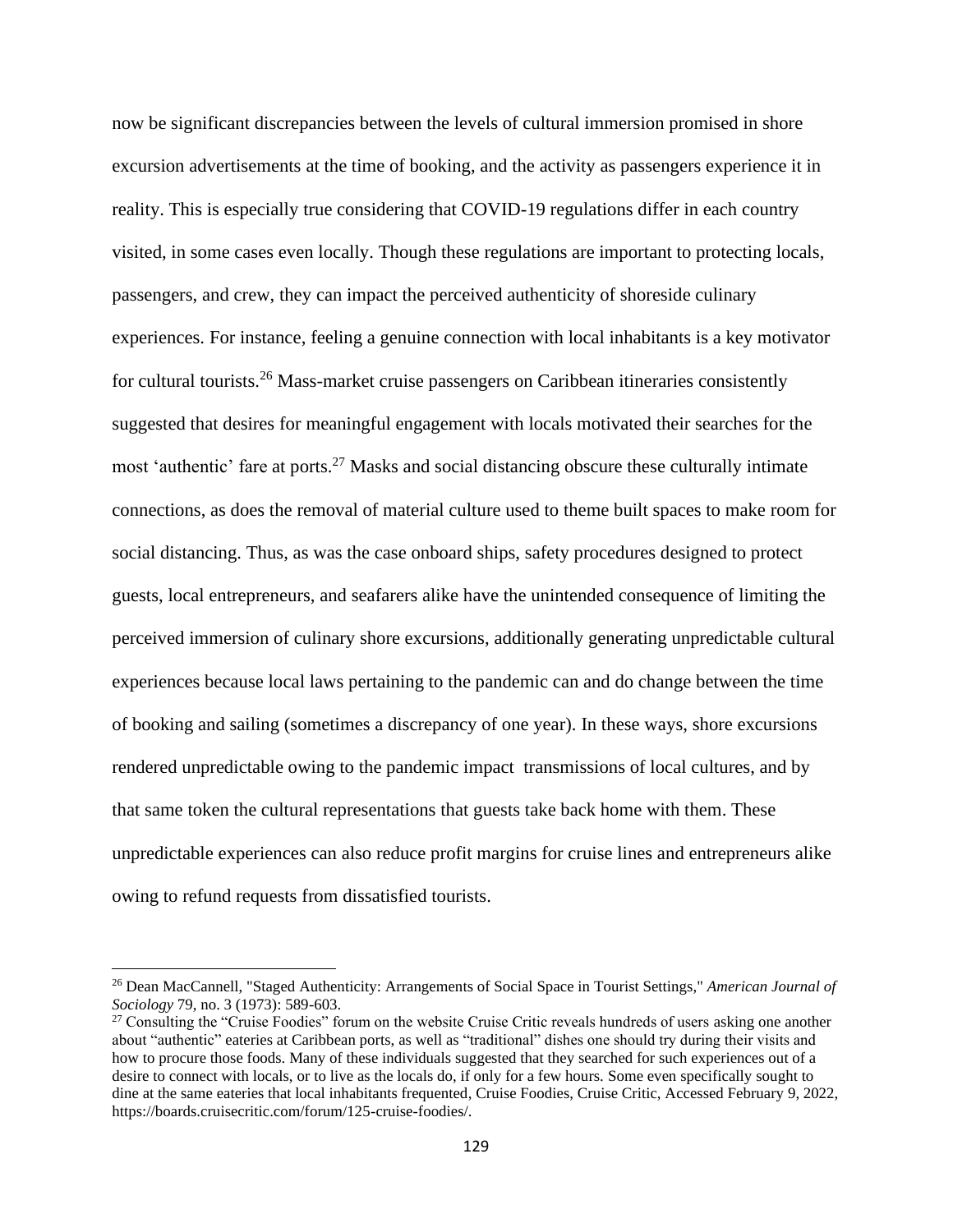now be significant discrepancies between the levels of cultural immersion promised in shore excursion advertisements at the time of booking, and the activity as passengers experience it in reality. This is especially true considering that COVID-19 regulations differ in each country visited, in some cases even locally. Though these regulations are important to protecting locals, passengers, and crew, they can impact the perceived authenticity of shoreside culinary experiences. For instance, feeling a genuine connection with local inhabitants is a key motivator for cultural tourists.<sup>26</sup> Mass-market cruise passengers on Caribbean itineraries consistently suggested that desires for meaningful engagement with locals motivated their searches for the most 'authentic' fare at ports.<sup>27</sup> Masks and social distancing obscure these culturally intimate connections, as does the removal of material culture used to theme built spaces to make room for social distancing. Thus, as was the case onboard ships, safety procedures designed to protect guests, local entrepreneurs, and seafarers alike have the unintended consequence of limiting the perceived immersion of culinary shore excursions, additionally generating unpredictable cultural experiences because local laws pertaining to the pandemic can and do change between the time of booking and sailing (sometimes a discrepancy of one year). In these ways, shore excursions rendered unpredictable owing to the pandemic impact transmissions of local cultures, and by that same token the cultural representations that guests take back home with them. These unpredictable experiences can also reduce profit margins for cruise lines and entrepreneurs alike owing to refund requests from dissatisfied tourists.

<sup>26</sup> Dean MacCannell, "Staged Authenticity: Arrangements of Social Space in Tourist Settings," *American Journal of Sociology* 79, no. 3 (1973): 589-603.

<sup>&</sup>lt;sup>27</sup> Consulting the "Cruise Foodies" forum on the website Cruise Critic reveals hundreds of users asking one another about "authentic" eateries at Caribbean ports, as well as "traditional" dishes one should try during their visits and how to procure those foods. Many of these individuals suggested that they searched for such experiences out of a desire to connect with locals, or to live as the locals do, if only for a few hours. Some even specifically sought to dine at the same eateries that local inhabitants frequented, Cruise Foodies, Cruise Critic, Accessed February 9, 2022, https://boards.cruisecritic.com/forum/125-cruise-foodies/.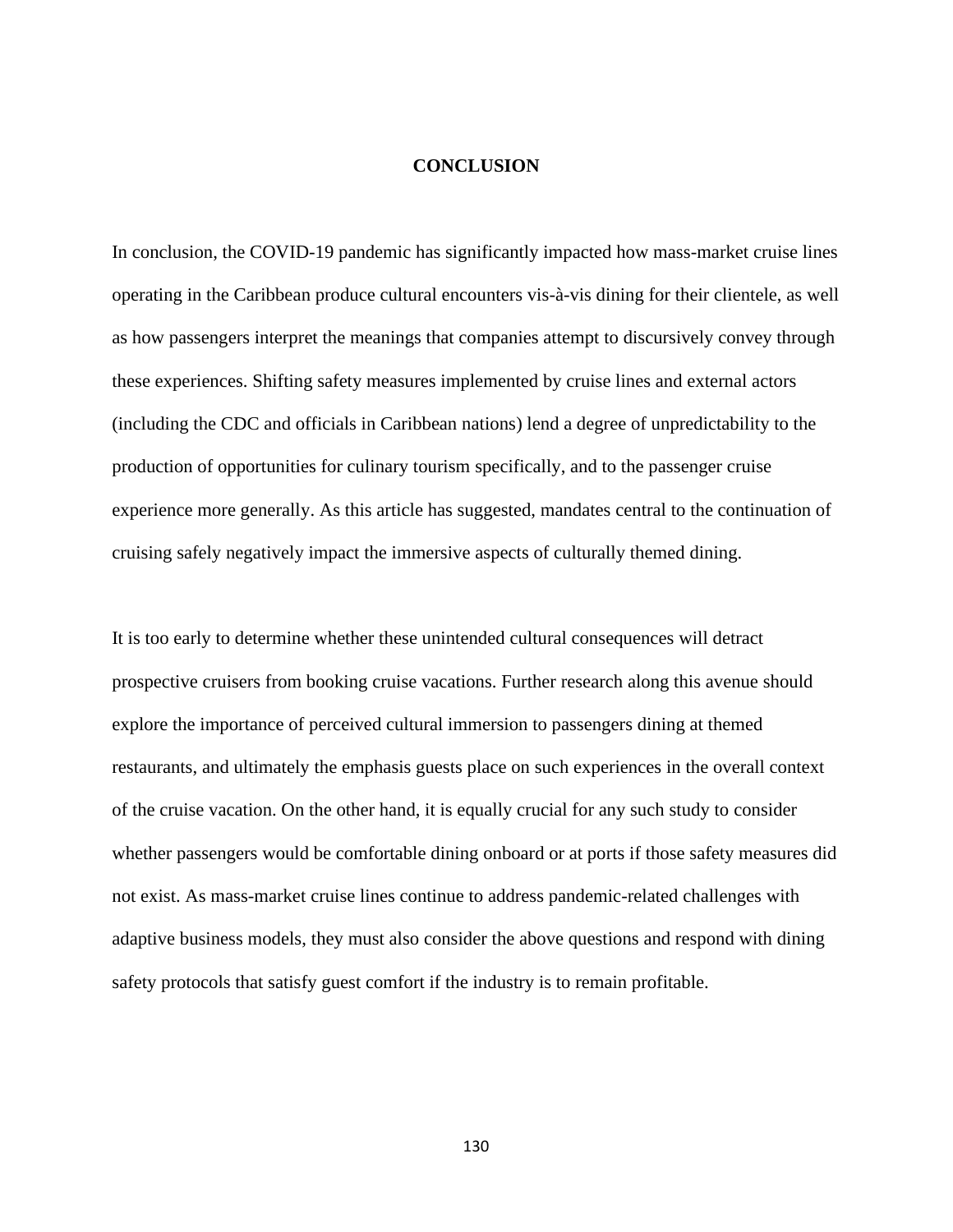### **CONCLUSION**

In conclusion, the COVID-19 pandemic has significantly impacted how mass-market cruise lines operating in the Caribbean produce cultural encounters vis-à-vis dining for their clientele, as well as how passengers interpret the meanings that companies attempt to discursively convey through these experiences. Shifting safety measures implemented by cruise lines and external actors (including the CDC and officials in Caribbean nations) lend a degree of unpredictability to the production of opportunities for culinary tourism specifically, and to the passenger cruise experience more generally. As this article has suggested, mandates central to the continuation of cruising safely negatively impact the immersive aspects of culturally themed dining.

It is too early to determine whether these unintended cultural consequences will detract prospective cruisers from booking cruise vacations. Further research along this avenue should explore the importance of perceived cultural immersion to passengers dining at themed restaurants, and ultimately the emphasis guests place on such experiences in the overall context of the cruise vacation. On the other hand, it is equally crucial for any such study to consider whether passengers would be comfortable dining onboard or at ports if those safety measures did not exist. As mass-market cruise lines continue to address pandemic-related challenges with adaptive business models, they must also consider the above questions and respond with dining safety protocols that satisfy guest comfort if the industry is to remain profitable.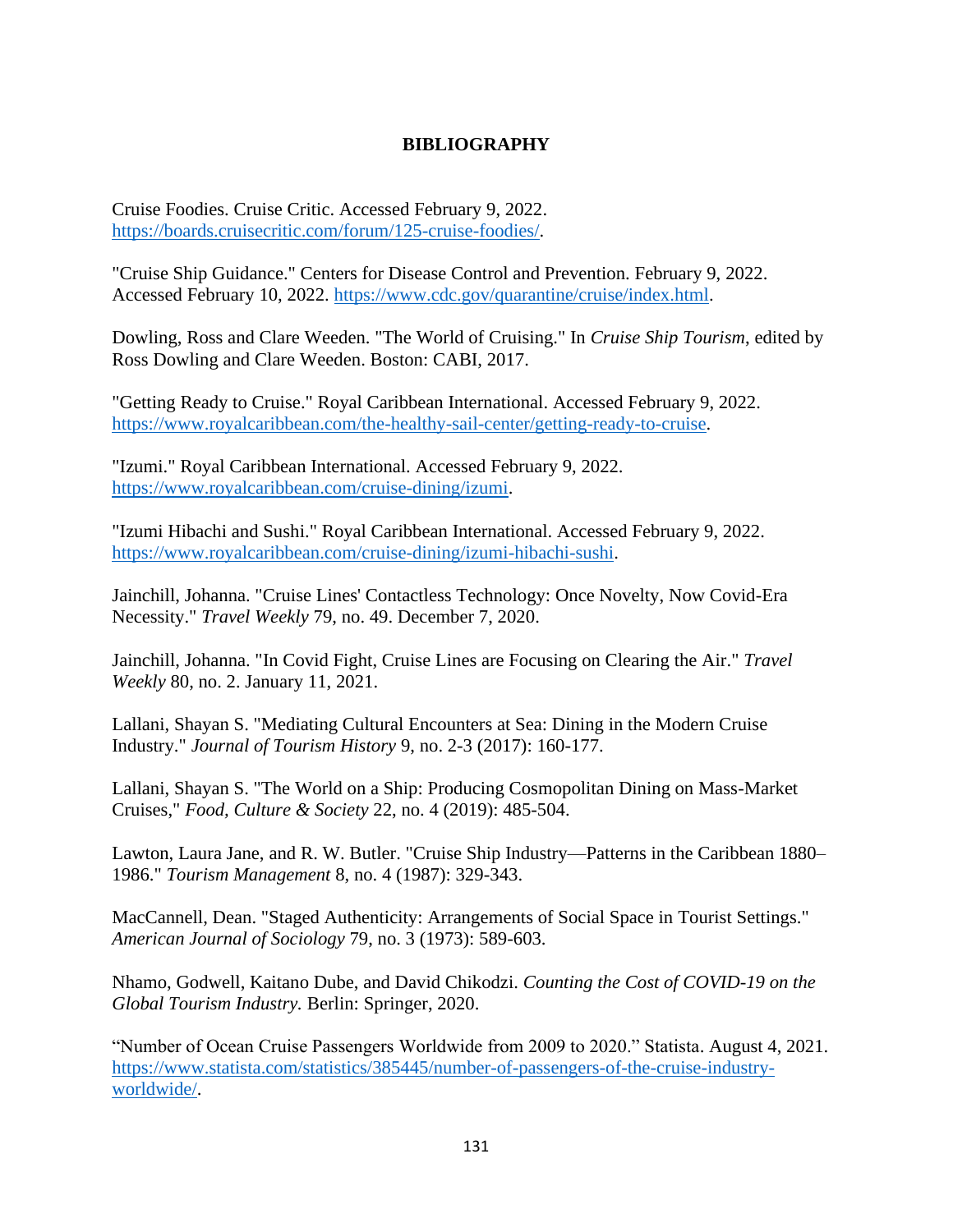## **BIBLIOGRAPHY**

Cruise Foodies. Cruise Critic. Accessed February 9, 2022. [https://boards.cruisecritic.com/forum/125-cruise-foodies/.](https://boards.cruisecritic.com/forum/125-cruise-foodies/)

"Cruise Ship Guidance." Centers for Disease Control and Prevention. February 9, 2022. Accessed February 10, 2022. [https://www.cdc.gov/quarantine/cruise/index.html.](https://www.cdc.gov/quarantine/cruise/index.html)

Dowling, Ross and Clare Weeden. "The World of Cruising." In *Cruise Ship Tourism*, edited by Ross Dowling and Clare Weeden. Boston: CABI, 2017.

"Getting Ready to Cruise." Royal Caribbean International. Accessed February 9, 2022. [https://www.royalcaribbean.com/the-healthy-sail-center/getting-ready-to-cruise.](https://www.royalcaribbean.com/the-healthy-sail-center/getting-ready-to-cruise)

"Izumi." Royal Caribbean International. Accessed February 9, 2022. [https://www.royalcaribbean.com/cruise-dining/izumi.](https://www.royalcaribbean.com/cruise-dining/izumi)

"Izumi Hibachi and Sushi." Royal Caribbean International. Accessed February 9, 2022. [https://www.royalcaribbean.com/cruise-dining/izumi-hibachi-sushi.](https://www.royalcaribbean.com/cruise-dining/izumi-hibachi-sushi)

Jainchill, Johanna. "Cruise Lines' Contactless Technology: Once Novelty, Now Covid-Era Necessity." *Travel Weekly* 79, no. 49. December 7, 2020.

Jainchill, Johanna. "In Covid Fight, Cruise Lines are Focusing on Clearing the Air." *Travel Weekly* 80, no. 2. January 11, 2021.

Lallani, Shayan S. "Mediating Cultural Encounters at Sea: Dining in the Modern Cruise Industry." *Journal of Tourism History* 9, no. 2-3 (2017): 160-177.

Lallani, Shayan S. "The World on a Ship: Producing Cosmopolitan Dining on Mass-Market Cruises," *Food, Culture & Society* 22, no. 4 (2019): 485-504.

Lawton, Laura Jane, and R. W. Butler. "Cruise Ship Industry—Patterns in the Caribbean 1880– 1986." *Tourism Management* 8, no. 4 (1987): 329-343.

MacCannell, Dean. "Staged Authenticity: Arrangements of Social Space in Tourist Settings." *American Journal of Sociology* 79, no. 3 (1973): 589-603.

Nhamo, Godwell, Kaitano Dube, and David Chikodzi. *Counting the Cost of COVID-19 on the Global Tourism Industry.* Berlin: Springer, 2020.

"Number of Ocean Cruise Passengers Worldwide from 2009 to 2020." Statista. August 4, 2021. [https://www.statista.com/statistics/385445/number-of-passengers-of-the-cruise-industry](https://www.statista.com/statistics/385445/number-of-passengers-of-the-cruise-industry-worldwide/)[worldwide/.](https://www.statista.com/statistics/385445/number-of-passengers-of-the-cruise-industry-worldwide/)